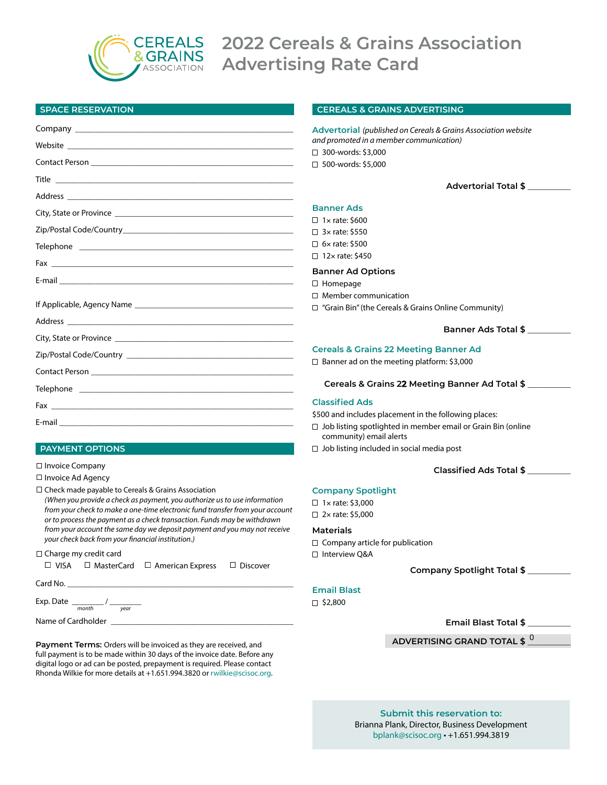

# **2022 Cereals & Grains Association Advertising Rate Card**

**CEREALS & GRAINS ADVERTISING**

# **SPACE RESERVATION**

|                                                                                                                                                                                                                                | Advertorial (published on Cereals & Grains Association website                                 |  |
|--------------------------------------------------------------------------------------------------------------------------------------------------------------------------------------------------------------------------------|------------------------------------------------------------------------------------------------|--|
|                                                                                                                                                                                                                                | and promoted in a member communication)                                                        |  |
|                                                                                                                                                                                                                                | $\Box$ 300-words: \$3,000<br>$\Box$ 500-words: \$5,000                                         |  |
|                                                                                                                                                                                                                                | Advertorial Total \$                                                                           |  |
|                                                                                                                                                                                                                                |                                                                                                |  |
| City, State or Province entrance and the state of the state of the state of the state of the state of the state of the state of the state of the state of the state of the state of the state of the state of the state of the | <b>Banner Ads</b>                                                                              |  |
| Zip/Postal Code/Country 2008 2009 2009 2009 2009 2012 2023 2024 2024 2022 2023 2024 2022 2023 2024 20                                                                                                                          | $\Box$ 1 x rate: \$600<br>$\Box$ 3x rate: \$550                                                |  |
|                                                                                                                                                                                                                                | $\Box$ 6x rate: \$500                                                                          |  |
|                                                                                                                                                                                                                                | $\Box$ 12x rate: \$450                                                                         |  |
|                                                                                                                                                                                                                                | <b>Banner Ad Options</b><br>$\Box$ Homepage                                                    |  |
|                                                                                                                                                                                                                                | $\Box$ Member communication<br>□ "Grain Bin" (the Cereals & Grains Online Community)           |  |
|                                                                                                                                                                                                                                | Banner Ads Total \$                                                                            |  |
|                                                                                                                                                                                                                                |                                                                                                |  |
|                                                                                                                                                                                                                                | <b>Cereals &amp; Grains 22 Meeting Banner Ad</b>                                               |  |
|                                                                                                                                                                                                                                | □ Banner ad on the meeting platform: \$3,000                                                   |  |
|                                                                                                                                                                                                                                | Cereals & Grains 22 Meeting Banner Ad Total \$                                                 |  |
|                                                                                                                                                                                                                                | <b>Classified Ads</b>                                                                          |  |
|                                                                                                                                                                                                                                | \$500 and includes placement in the following places:                                          |  |
|                                                                                                                                                                                                                                | $\Box$ Job listing spotlighted in member email or Grain Bin (online<br>community) email alerts |  |
| <b>PAYMENT OPTIONS</b>                                                                                                                                                                                                         | $\Box$ Job listing included in social media post                                               |  |
| $\Box$ Invoice Company<br>□ Invoice Ad Agency                                                                                                                                                                                  | <b>Classified Ads Total \$</b>                                                                 |  |
| $\Box$ Check made payable to Cereals & Grains Association<br>(When you provide a check as payment, you authorize us to use information<br>from your check to make a one-time electronic fund transfer from your account        | <b>Company Spotlight</b><br>$\Box$ 1 × rate: \$3,000<br>$\Box$ 2x rate: \$5,000                |  |

**Materials**

- $\Box$  Company article for publication
- □ Interview Q&A

**Company Spotlight Total \$** \_\_\_\_\_\_\_\_\_\_\_\_

| Email Blast |  |
|-------------|--|
|             |  |

 $\Box$ \$2,800

**Email Blast Total \$** \_\_\_\_\_\_\_\_\_\_\_\_

**ADVERTISING GRAND TOTAL \$** \_\_\_\_\_\_\_\_\_\_\_\_ 0

**Submit this reservation to:** Brianna Plank, Director, Business Development [bplank@scisoc.org](mailto:bplank%40scisoc.org?subject=Cereals%20%26%20Grains%20Association%20Advertising) • +1.651.994.3819

*or to process the payment as a check transaction. Funds may be withdrawn from your account the same day we deposit payment and you may not receive your check back from your financial institution.)*

Charge my credit card

|          | $\Box$ VISA $\Box$ MasterCard $\Box$ American Express $\Box$ Discover |  |
|----------|-----------------------------------------------------------------------|--|
| Card No. |                                                                       |  |

Exp. Date \_\_\_\_\_\_\_\_ / \_\_\_\_\_\_\_\_ *month year*

Name of Cardholder \_

Payment Terms: Orders will be invoiced as they are received, and full payment is to be made within 30 days of the invoice date. Before any digital logo or ad can be posted, prepayment is required. Please contact Rhonda Wilkie for more details at +1.651.994.3820 or [rwilkie@scisoc.org](mailto:rwilkie%40scisoc.org?subject=Cereals%20%26%20Grains%20Association%20Advertising).